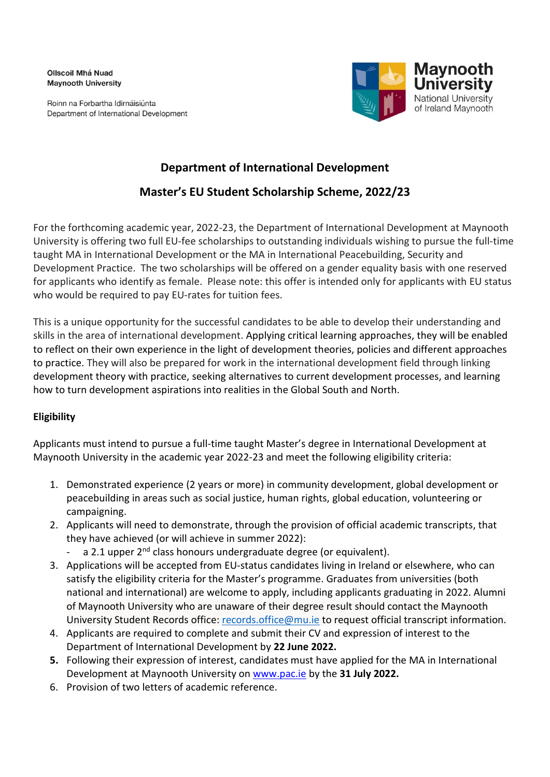**Ollscoil Mhá Nuad Maynooth University** 

Roinn na Forbartha Idirnáisiúnta Department of International Development



# **Department of International Development**

# **Master's EU Student Scholarship Scheme, 2022/23**

For the forthcoming academic year, 2022-23, the Department of International Development at Maynooth University is offering two full EU-fee scholarships to outstanding individuals wishing to pursue the full-time taught MA in International Development or the MA in International Peacebuilding, Security and Development Practice. The two scholarships will be offered on a gender equality basis with one reserved for applicants who identify as female. Please note: this offer is intended only for applicants with EU status who would be required to pay EU-rates for tuition fees.

This is a unique opportunity for the successful candidates to be able to develop their understanding and skills in the area of international development. Applying critical learning approaches, they will be enabled to reflect on their own experience in the light of development theories, policies and different approaches to practice. They will also be prepared for work in the international development field through linking development theory with practice, seeking alternatives to current development processes, and learning how to turn development aspirations into realities in the Global South and North.

# **Eligibility**

Applicants must intend to pursue a full-time taught Master's degree in International Development at Maynooth University in the academic year 2022-23 and meet the following eligibility criteria:

- 1. Demonstrated experience (2 years or more) in community development, global development or peacebuilding in areas such as social justice, human rights, global education, volunteering or campaigning.
- 2. Applicants will need to demonstrate, through the provision of official academic transcripts, that they have achieved (or will achieve in summer 2022):
	- a 2.1 upper 2<sup>nd</sup> class honours undergraduate degree (or equivalent).
- 3. Applications will be accepted from EU-status candidates living in Ireland or elsewhere, who can satisfy the eligibility criteria for the Master's programme. Graduates from universities (both national and international) are welcome to apply, including applicants graduating in 2022. Alumni of Maynooth University who are unaware of their degree result should contact the Maynooth University Student Records office: [records.office@mu.ie](mailto:records.office@mu.ie) to request official transcript information.
- 4. Applicants are required to complete and submit their CV and expression of interest to the Department of International Development by **22 June 2022.**
- **5.** Following their expression of interest, candidates must have applied for the MA in International Development at Maynooth University on [www.pac.ie](http://www.pac.ie/) by the **31 July 2022.**
- 6. Provision of two letters of academic reference.